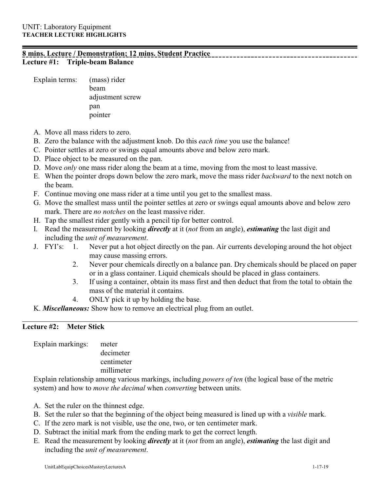## **8 mins. Lecture / Demonstration; 12 mins. Student Practice Lecture #1: Triple-beam Balance**

Explain terms: (mass) rider beam adjustment screw pan pointer

- A. Move all mass riders to zero.
- B. Zero the balance with the adjustment knob. Do this *each time* you use the balance!
- C. Pointer settles at zero or swings equal amounts above and below zero mark.
- D. Place object to be measured on the pan.
- D. Move *only* one mass rider along the beam at a time, moving from the most to least massive.
- E. When the pointer drops down below the zero mark, move the mass rider *backward* to the next notch on the beam.
- F. Continue moving one mass rider at a time until you get to the smallest mass.
- G. Move the smallest mass until the pointer settles at zero or swings equal amounts above and below zero mark. There are *no notches* on the least massive rider.
- H. Tap the smallest rider gently with a pencil tip for better control.
- I. Read the measurement by looking *directly* at it (*not* from an angle), *estimating* the last digit and including the *unit of measurement*.
- J. FYI's: 1. Never put a hot object directly on the pan. Air currents developing around the hot object may cause massing errors.
	- 2. Never pour chemicals directly on a balance pan. Dry chemicals should be placed on paper or in a glass container. Liquid chemicals should be placed in glass containers.
	- 3. If using a container, obtain its mass first and then deduct that from the total to obtain the mass of the material it contains.
	- 4. ONLY pick it up by holding the base.
- K. *Miscellaneous:* Show how to remove an electrical plug from an outlet.

## **Lecture #2: Meter Stick**

Explain markings: meter decimeter centimeter

millimeter

Explain relationship among various markings, including *powers of ten* (the logical base of the metric system) and how to *move the decimal* when *converting* between units.

- A. Set the ruler on the thinnest edge.
- B. Set the ruler so that the beginning of the object being measured is lined up with a *visible* mark.
- C. If the zero mark is not visible, use the one, two, or ten centimeter mark.
- D. Subtract the initial mark from the ending mark to get the correct length.
- E. Read the measurement by looking *directly* at it (*not* from an angle), *estimating* the last digit and including the *unit of measurement*.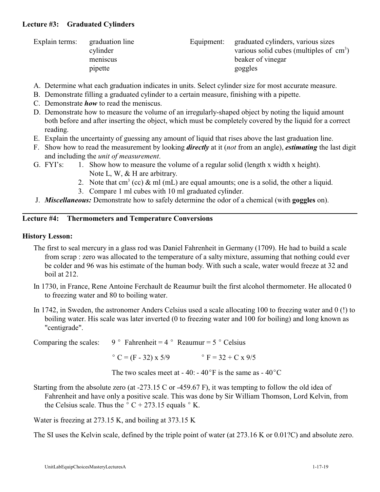## **Lecture #3: Graduated Cylinders**

| Explain terms: | graduation line<br>cylinder | Equipment: | graduated cylinders, various sizes<br>various solid cubes (multiples of $\, \text{cm}^3$ ) |
|----------------|-----------------------------|------------|--------------------------------------------------------------------------------------------|
|                | meniscus                    |            | beaker of vinegar                                                                          |
|                | pipette                     |            | goggles                                                                                    |

- A. Determine what each graduation indicates in units. Select cylinder size for most accurate measure.
- B. Demonstrate filling a graduated cylinder to a certain measure, finishing with a pipette.
- C. Demonstrate *how* to read the meniscus.
- D. Demonstrate how to measure the volume of an irregularly-shaped object by noting the liquid amount both before and after inserting the object, which must be completely covered by the liquid for a correct reading.
- E. Explain the uncertainty of guessing any amount of liquid that rises above the last graduation line.
- F. Show how to read the measurement by looking *directly* at it (*not* from an angle), *estimating* the last digit and including the *unit of measurement*.
- G. FYI's: 1. Show how to measure the volume of a regular solid (length x width x height). Note L, W, & H are arbitrary.
	- 2. Note that cm<sup>3</sup> (cc) & ml (mL) are equal amounts; one is a solid, the other a liquid.
	- 3. Compare 1 ml cubes with 10 ml graduated cylinder.
- J. *Miscellaneous:* Demonstrate how to safely determine the odor of a chemical (with **goggles** on).

## **Lecture #4: Thermometers and Temperature Conversions**

## **History Lesson:**

- The first to seal mercury in a glass rod was Daniel Fahrenheit in Germany (1709). He had to build a scale from scrap : zero was allocated to the temperature of a salty mixture, assuming that nothing could ever be colder and 96 was his estimate of the human body. With such a scale, water would freeze at 32 and boil at 212.
- In 1730, in France, Rene Antoine Ferchault de Reaumur built the first alcohol thermometer. He allocated 0 to freezing water and 80 to boiling water.
- In 1742, in Sweden, the astronomer Anders Celsius used a scale allocating 100 to freezing water and 0 (!) to boiling water. His scale was later inverted (0 to freezing water and 100 for boiling) and long known as "centigrade".

Comparing the scales:  $9^\circ$  Fahrenheit =  $4^\circ$  Reaumur =  $5^\circ$  Celsius

 $^{\circ}$  C = (F - 32) x 5/9  $^{\circ}$  F = 32 + C x 9/5

The two scales meet at - 40: - 40 $\degree$ F is the same as - 40 $\degree$ C

Starting from the absolute zero (at -273.15 C or -459.67 F), it was tempting to follow the old idea of Fahrenheit and have only a positive scale. This was done by Sir William Thomson, Lord Kelvin, from the Celsius scale. Thus the  $\degree$  C + 273.15 equals  $\degree$  K.

Water is freezing at 273.15 K, and boiling at 373.15 K

The SI uses the Kelvin scale, defined by the triple point of water (at 273.16 K or 0.01?C) and absolute zero.